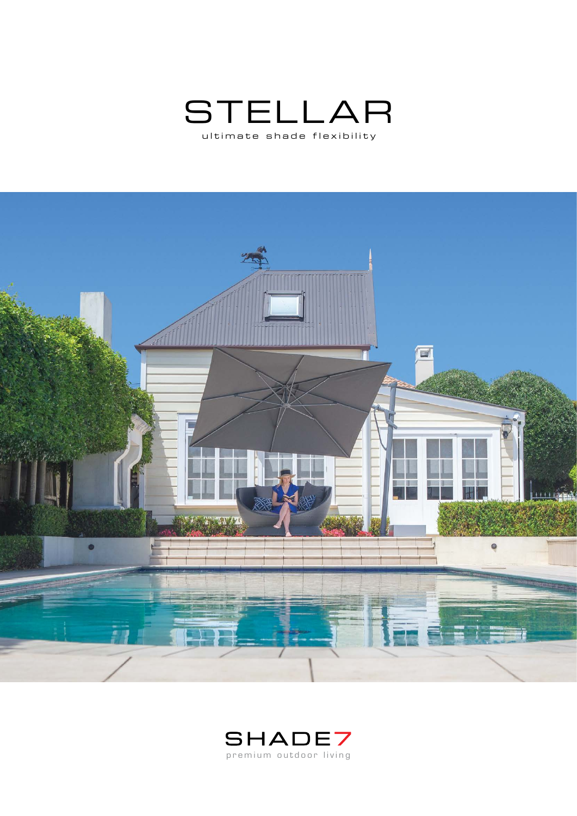



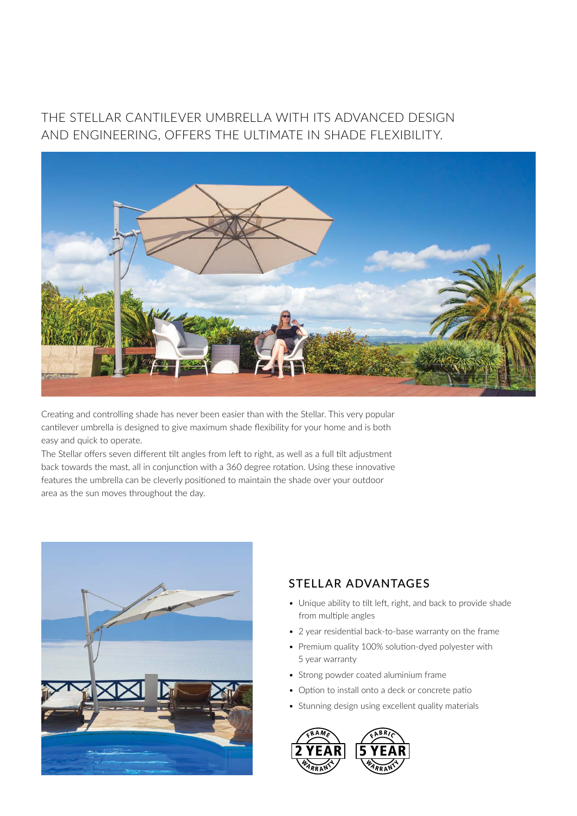# THE STELLAR CANTILEVER UMBRELLA WITH ITS ADVANCED DESIGN AND ENGINEERING, OFFERS THE ULTIMATE IN SHADE FLEXIBILITY.



Creating and controlling shade has never been easier than with the Stellar. This very popular cantilever umbrella is designed to give maximum shade flexibility for your home and is both easy and quick to operate.

The Stellar offers seven different tilt angles from left to right, as well as a full tilt adjustment back towards the mast, all in conjunction with a 360 degree rotation. Using these innovative features the umbrella can be cleverly positioned to maintain the shade over your outdoor area as the sun moves throughout the day.



## STELLAR ADVANTAGES

- Unique ability to tilt left, right, and back to provide shade from multiple angles
- 2 year residential back-to-base warranty on the frame
- Premium quality 100% solution-dyed polyester with 5 year warranty
- Strong powder coated aluminium frame
- Option to install onto a deck or concrete patio
- Stunning design using excellent quality materials

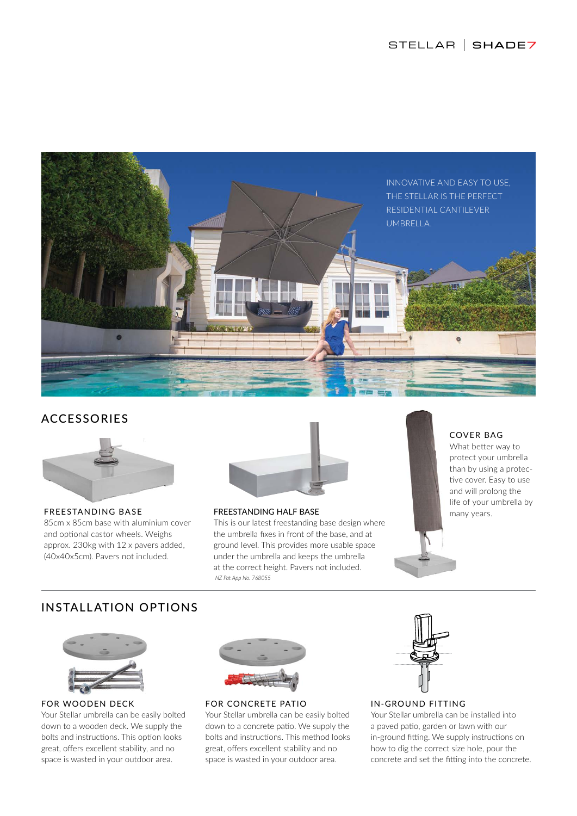

# ACCESSORIES



FREESTANDING BASE 85cm x 85cm base with aluminium cover and optional castor wheels. Weighs approx. 230kg with 12 x pavers added, (40x40x5cm). Pavers not included.



#### FREESTANDING HALF BASE

This is our latest freestanding base design where the umbrella fixes in front of the base, and at ground level. This provides more usable space under the umbrella and keeps the umbrella at the correct height. Pavers not included. *NZ Pat App No. 768055*

#### COVER BAG

What better way to protect your umbrella than by using a protective cover. Easy to use and will prolong the life of your umbrella by many years.

## INSTALLATION OPTIONS



FOR WOODEN DECK Your Stellar umbrella can be easily bolted down to a wooden deck. We supply the bolts and instructions. This option looks great, offers excellent stability, and no space is wasted in your outdoor area.



#### FOR CONCRETE PATIO

Your Stellar umbrella can be easily bolted down to a concrete patio. We supply the bolts and instructions. This method looks great, offers excellent stability and no space is wasted in your outdoor area.



IN-GROUND FITTING

Your Stellar umbrella can be installed into a paved patio, garden or lawn with our in-ground fitting. We supply instructions on how to dig the correct size hole, pour the concrete and set the fitting into the concrete.